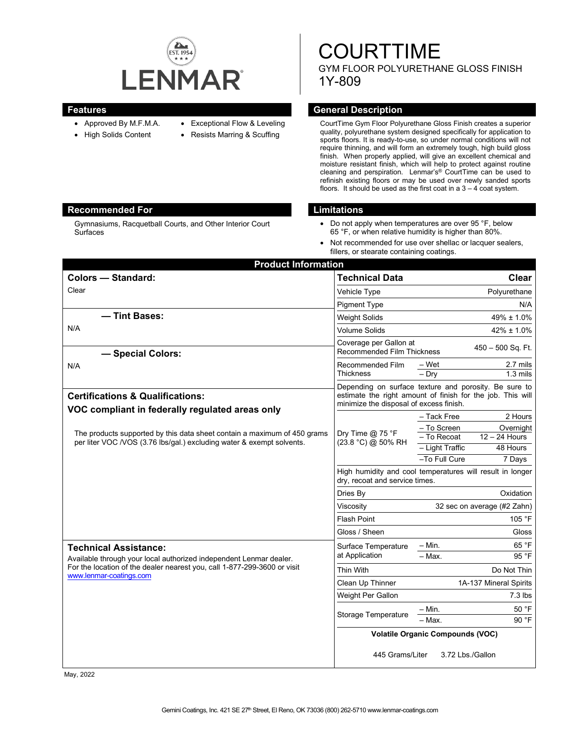

Gymnasiums, Racquetball Courts, and Other Interior Court

### **Features General Description**

**Surfaces** 

- Approved By M.F.M.A.
- High Solids Content
- Exceptional Flow & Leveling
- 
- Resists Marring & Scuffing
- 
- CourtTime Gym Floor Polyurethane Gloss Finish creates a superior quality, polyurethane system designed specifically for application to sports floors. It is ready-to-use, so under normal conditions will not require thinning, and will form an extremely tough, high build gloss finish. When properly applied, will give an excellent chemical and moisture resistant finish, which will help to protect against routine cleaning and perspiration. Lenmar's® CourtTime can be used to refinish existing floors or may be used over newly sanded sports floors. It should be used as the first coat in a  $3 - 4$  coat system.

GYM FLOOR POLYURETHANE GLOSS FINISH

**COURTTIME** 

# **Recommended For Limitations**

1Y-809

- Do not apply when temperatures are over 95 °F, below 65 °F, or when relative humidity is higher than 80%.
- Not recommended for use over shellac or lacquer sealers, fillers, or stearate containing coatings.

| <b>Product Information</b>                                                                                                                                                                                |                                                                                                                                                                |                                                                                          |
|-----------------------------------------------------------------------------------------------------------------------------------------------------------------------------------------------------------|----------------------------------------------------------------------------------------------------------------------------------------------------------------|------------------------------------------------------------------------------------------|
| <b>Colors - Standard:</b>                                                                                                                                                                                 | <b>Technical Data</b>                                                                                                                                          | <b>Clear</b>                                                                             |
| Clear                                                                                                                                                                                                     | Vehicle Type                                                                                                                                                   | Polyurethane                                                                             |
|                                                                                                                                                                                                           | <b>Pigment Type</b>                                                                                                                                            | N/A                                                                                      |
| - Tint Bases:                                                                                                                                                                                             | <b>Weight Solids</b>                                                                                                                                           | 49% ± 1.0%                                                                               |
| N/A                                                                                                                                                                                                       | <b>Volume Solids</b>                                                                                                                                           | $42\% \pm 1.0\%$                                                                         |
| - Special Colors:                                                                                                                                                                                         | Coverage per Gallon at<br><b>Recommended Film Thickness</b>                                                                                                    | 450 - 500 Sq. Ft.                                                                        |
| N/A                                                                                                                                                                                                       | <b>Recommended Film</b><br><b>Thickness</b>                                                                                                                    | – Wet<br>2.7 mils<br>$-$ Dry<br>$1.3 \text{ miles}$                                      |
| <b>Certifications &amp; Qualifications:</b>                                                                                                                                                               | Depending on surface texture and porosity. Be sure to<br>estimate the right amount of finish for the job. This will<br>minimize the disposal of excess finish. |                                                                                          |
| VOC compliant in federally regulated areas only<br>The products supported by this data sheet contain a maximum of 450 grams<br>per liter VOC /VOS (3.76 lbs/gal.) excluding water & exempt solvents.      | Dry Time $@$ 75 °F<br>(23.8 °C) @ 50% RH                                                                                                                       | 2 Hours<br>– Tack Free<br>- To Screen<br>Overnight                                       |
|                                                                                                                                                                                                           |                                                                                                                                                                | $12 - 24$ Hours<br>- To Recoat<br>- Light Traffic<br>48 Hours<br>-To Full Cure<br>7 Days |
|                                                                                                                                                                                                           | High humidity and cool temperatures will result in longer<br>dry, recoat and service times.                                                                    |                                                                                          |
|                                                                                                                                                                                                           | Dries By                                                                                                                                                       | Oxidation                                                                                |
|                                                                                                                                                                                                           | Viscosity                                                                                                                                                      | 32 sec on average (#2 Zahn)                                                              |
|                                                                                                                                                                                                           | <b>Flash Point</b>                                                                                                                                             | 105 °F                                                                                   |
|                                                                                                                                                                                                           | Gloss / Sheen                                                                                                                                                  | Gloss                                                                                    |
| <b>Technical Assistance:</b><br>Available through your local authorized independent Lenmar dealer.<br>For the location of the dealer nearest you, call 1-877-299-3600 or visit<br>www.lenmar-coatings.com | Surface Temperature<br>at Application                                                                                                                          | $-$ Min.<br>65 °F                                                                        |
|                                                                                                                                                                                                           |                                                                                                                                                                | 95 °F<br>$-$ Max.                                                                        |
|                                                                                                                                                                                                           | Thin With                                                                                                                                                      | Do Not Thin                                                                              |
|                                                                                                                                                                                                           | Clean Up Thinner                                                                                                                                               | 1A-137 Mineral Spirits                                                                   |
|                                                                                                                                                                                                           | Weight Per Gallon                                                                                                                                              | $7.3$ lbs                                                                                |
|                                                                                                                                                                                                           | Storage Temperature                                                                                                                                            | 50 °F<br>– Min.<br>90 °F<br>- Max.                                                       |
|                                                                                                                                                                                                           | <b>Volatile Organic Compounds (VOC)</b>                                                                                                                        |                                                                                          |
|                                                                                                                                                                                                           | 445 Grams/Liter                                                                                                                                                | 3.72 Lbs./Gallon                                                                         |

May, 2022